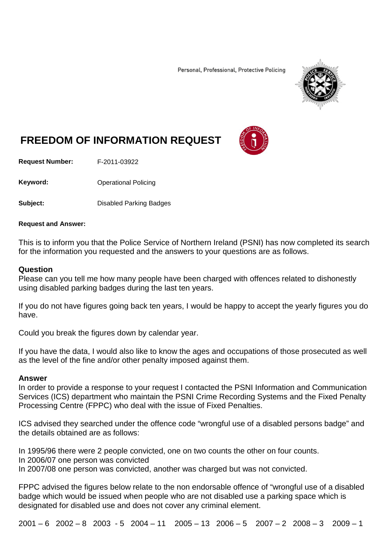Personal, Professional, Protective Policing



# **FREEDOM OF INFORMATION REQUEST**

**Request Number:** F-2011-03922

**Keyword:** Operational Policing

**Subject:** Disabled Parking Badges

#### **Request and Answer:**

This is to inform you that the Police Service of Northern Ireland (PSNI) has now completed its search for the information you requested and the answers to your questions are as follows.

## **Question**

Please can you tell me how many people have been charged with offences related to dishonestly using disabled parking badges during the last ten years.

If you do not have figures going back ten years, I would be happy to accept the yearly figures you do have.

Could you break the figures down by calendar year.

If you have the data, I would also like to know the ages and occupations of those prosecuted as well as the level of the fine and/or other penalty imposed against them.

### **Answer**

In order to provide a response to your request I contacted the PSNI Information and Communication Services (ICS) department who maintain the PSNI Crime Recording Systems and the Fixed Penalty Processing Centre (FPPC) who deal with the issue of Fixed Penalties.

ICS advised they searched under the offence code "wrongful use of a disabled persons badge" and the details obtained are as follows:

In 1995/96 there were 2 people convicted, one on two counts the other on four counts. In 2006/07 one person was convicted In 2007/08 one person was convicted, another was charged but was not convicted.

FPPC advised the figures below relate to the non endorsable offence of "wrongful use of a disabled badge which would be issued when people who are not disabled use a parking space which is designated for disabled use and does not cover any criminal element.